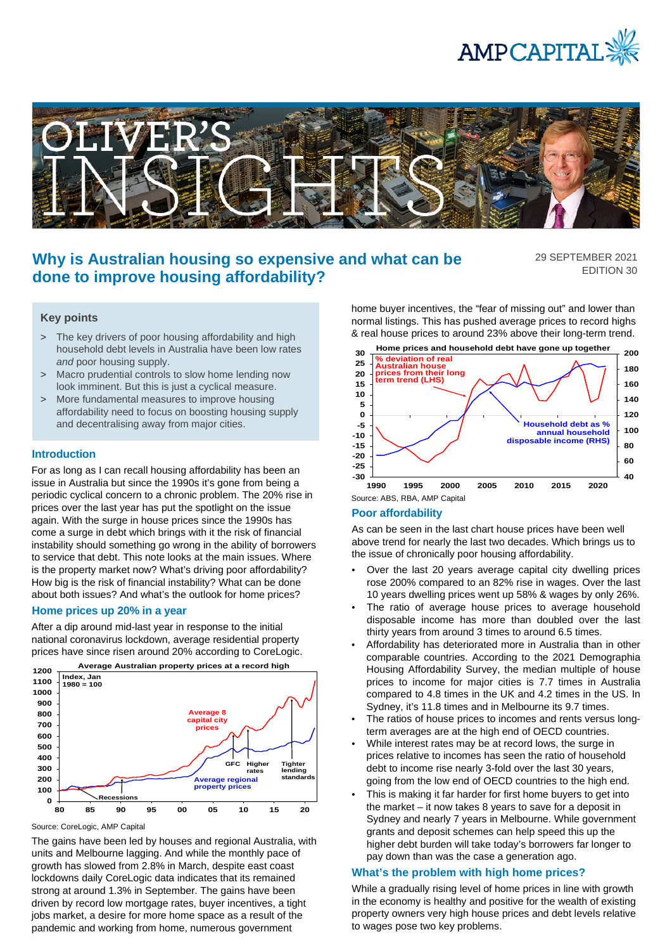



# **Why is Australian housing so expensive and what can be done to improve housing affordability?**

29 SEPTEMBER 2021 EDITION 30

## **Key points**

- > The key drivers of poor housing affordability and high household debt levels in Australia have been low rates *and* poor housing supply.
- > Macro prudential controls to slow home lending now look imminent. But this is just a cyclical measure.
- > More fundamental measures to improve housing affordability need to focus on boosting housing supply and decentralising away from major cities.

#### **Introduction**

For as long as I can recall housing affordability has been an issue in Australia but since the 1990s it's gone from being a periodic cyclical concern to a chronic problem. The 20% rise in prices over the last year has put the spotlight on the issue again. With the surge in house prices since the 1990s has come a surge in debt which brings with it the risk of financial instability should something go wrong in the ability of borrowers to service that debt. This note looks at the main issues. Where is the property market now? What's driving poor affordability? How big is the risk of financial instability? What can be done about both issues? And what's the outlook for home prices?

## **Home prices up 20% in a year**

After a dip around mid-last year in response to the initial national coronavirus lockdown, average residential property prices have since risen around 20% according to CoreLogic.



Source: CoreLogic, AMP Capital

The gains have been led by houses and regional Australia, with units and Melbourne lagging. And while the monthly pace of growth has slowed from 2.8% in March, despite east coast lockdowns daily CoreLogic data indicates that its remained strong at around 1.3% in September. The gains have been driven by record low mortgage rates, buyer incentives, a tight jobs market, a desire for more home space as a result of the pandemic and working from home, numerous government

home buyer incentives, the "fear of missing out" and lower than normal listings. This has pushed average prices to record highs & real house prices to around 23% above their long-term trend.



#### **Poor affordability**

As can be seen in the last chart house prices have been well above trend for nearly the last two decades. Which brings us to the issue of chronically poor housing affordability.

- Over the last 20 years average capital city dwelling prices rose 200% compared to an 82% rise in wages. Over the last 10 years dwelling prices went up 58% & wages by only 26%.
- The ratio of average house prices to average household disposable income has more than doubled over the last thirty years from around 3 times to around 6.5 times.
- Affordability has deteriorated more in Australia than in other comparable countries. According to the 2021 Demographia Housing Affordability Survey, the median multiple of house prices to income for major cities is 7.7 times in Australia compared to 4.8 times in the UK and 4.2 times in the US. In Sydney, it's 11.8 times and in Melbourne its 9.7 times.
- The ratios of house prices to incomes and rents versus longterm averages are at the high end of OECD countries.
- While interest rates may be at record lows, the surge in prices relative to incomes has seen the ratio of household debt to income rise nearly 3-fold over the last 30 years, going from the low end of OECD countries to the high end.
- This is making it far harder for first home buyers to get into the market – it now takes 8 years to save for a deposit in Sydney and nearly 7 years in Melbourne. While government grants and deposit schemes can help speed this up the higher debt burden will take today's borrowers far longer to pay down than was the case a generation ago.

### **What's the problem with high home prices?**

While a gradually rising level of home prices in line with growth in the economy is healthy and positive for the wealth of existing property owners very high house prices and debt levels relative to wages pose two key problems.